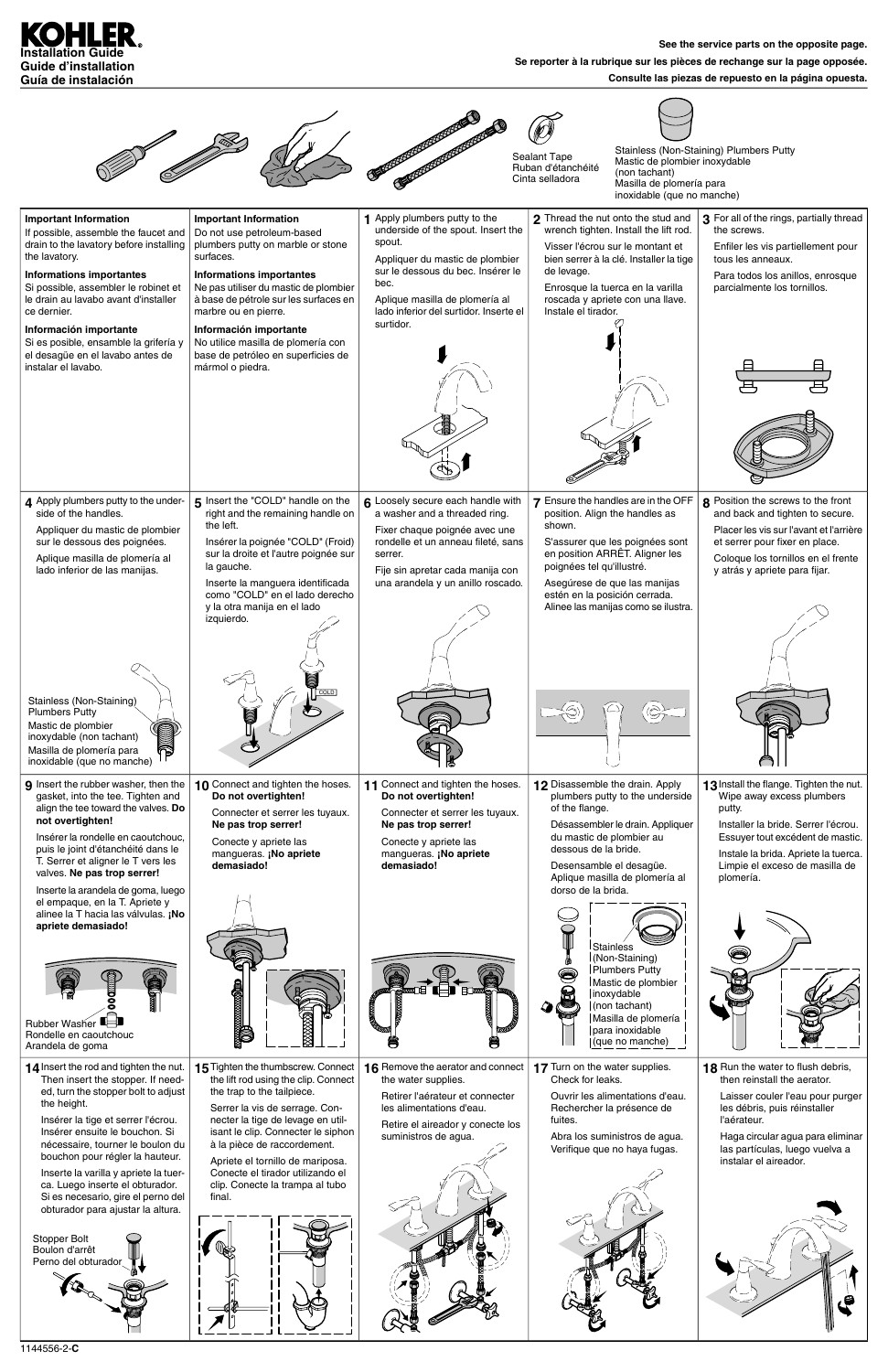## **Consulte las piezas de repuesto en la página opuesta.**



|                                                                                                                                                                                                                                                                                                                                                                                                                            |                                                                                                                                                                                                                                                                                                                                                                                     |                                                                                                                                                                                                                                                        | Sealant Tape<br>Mastic de plombier inoxydable<br>Ruban d'étanchéité<br>(non tachant)<br>Cinta selladora<br>Masilla de plomería para<br>inoxidable (que no manche)                                                                                                                                                                                                     | Stainless (Non-Staining) Plumbers Putty                                                                                                                                                                                                          |
|----------------------------------------------------------------------------------------------------------------------------------------------------------------------------------------------------------------------------------------------------------------------------------------------------------------------------------------------------------------------------------------------------------------------------|-------------------------------------------------------------------------------------------------------------------------------------------------------------------------------------------------------------------------------------------------------------------------------------------------------------------------------------------------------------------------------------|--------------------------------------------------------------------------------------------------------------------------------------------------------------------------------------------------------------------------------------------------------|-----------------------------------------------------------------------------------------------------------------------------------------------------------------------------------------------------------------------------------------------------------------------------------------------------------------------------------------------------------------------|--------------------------------------------------------------------------------------------------------------------------------------------------------------------------------------------------------------------------------------------------|
| <b>Important Information</b><br>If possible, assemble the faucet and<br>drain to the lavatory before installing<br>the lavatory.<br><b>Informations importantes</b><br>Si possible, assembler le robinet et<br>le drain au lavabo avant d'installer<br>ce dernier.<br>Información importante<br>Si es posible, ensamble la grifería y<br>el desagüe en el lavabo antes de<br>instalar el lavabo.                           | <b>Important Information</b><br>Do not use petroleum-based<br>plumbers putty on marble or stone<br>surfaces.<br><b>Informations importantes</b><br>Ne pas utiliser du mastic de plombier<br>à base de pétrole sur les surfaces en<br>marbre ou en pierre.<br>Información importante<br>No utilice masilla de plomería con<br>base de petróleo en superficies de<br>mármol o piedra. | 1 Apply plumbers putty to the<br>underside of the spout. Insert the<br>spout.<br>Appliquer du mastic de plombier<br>sur le dessous du bec. Insérer le<br>bec.<br>Aplique masilla de plomería al<br>lado inferior del surtidor. Inserte el<br>surtidor. | 2 Thread the nut onto the stud and<br>wrench tighten. Install the lift rod.<br>Visser l'écrou sur le montant et<br>bien serrer à la clé. Installer la tige<br>de levage.<br>Enrosque la tuerca en la varilla<br>roscada y apriete con una llave.<br>Instale el tirador.                                                                                               | 3 For all of the rings, partially thread<br>the screws.<br>Enfiler les vis partiellement pour<br>tous les anneaux.<br>Para todos los anillos, enrosque<br>parcialmente los tornillos.                                                            |
| 4 Apply plumbers putty to the under-<br>side of the handles.<br>Appliquer du mastic de plombier<br>sur le dessous des poignées.<br>Aplique masilla de plomería al<br>lado inferior de las manijas.<br>Stainless (Non-Staining)<br><b>Plumbers Putty</b><br>Mastic de plombier<br>inoxydable (non tachant)<br>Masilla de plomería para<br>inoxidable (que no manche)                                                        | 5 Insert the "COLD" handle on the<br>right and the remaining handle on<br>the left.<br>Insérer la poignée "COLD" (Froid)<br>sur la droite et l'autre poignée sur<br>la gauche.<br>Inserte la manguera identificada<br>como "COLD" en el lado derecho<br>y la otra manija en el lado<br>izquierdo.                                                                                   | 6 Loosely secure each handle with<br>a washer and a threaded ring.<br>Fixer chaque poignée avec une<br>rondelle et un anneau fileté, sans<br>serrer.<br>Fije sin apretar cada manija con<br>una arandela y un anillo roscado.                          | Ensure the handles are in the OFF<br>position. Align the handles as<br>shown.<br>S'assurer que les poignées sont<br>en position ARRÊT. Aligner les<br>poignées tel qu'illustré.<br>Asegúrese de que las manijas<br>estén en la posición cerrada.<br>Alinee las manijas como se ilustra.                                                                               | 8 Position the screws to the front<br>and back and tighten to secure.<br>Placer les vis sur l'avant et l'arrière<br>et serrer pour fixer en place.<br>Coloque los tornillos en el frente<br>y atrás y apriete para fijar.                        |
| 9 Insert the rubber washer, then the<br>gasket, into the tee. Tighten and<br>align the tee toward the valves. Do<br>not overtighten!<br>Insérer la rondelle en caoutchouc,<br>puis le joint d'étanchéité dans le<br>T. Serrer et aligner le T vers les<br>valves. Ne pas trop serrer!<br>Inserte la arandela de goma, luego<br>el empaque, en la T. Apriete y<br>alinee la T hacia las válvulas. ¡No<br>apriete demasiado! | 10 Connect and tighten the hoses.<br>Do not overtighten!<br>Connecter et serrer les tuyaux.<br>Ne pas trop serrer!<br>Conecte y apriete las<br>mangueras. ¡No apriete<br>demasiado!                                                                                                                                                                                                 | 11 Connect and tighten the hoses.<br>Do not overtighten!<br>Connecter et serrer les tuyaux.<br>Ne pas trop serrer!<br>Conecte y apriete las<br>mangueras. ¡No apriete<br>demasiado!                                                                    | 12 Disassemble the drain. Apply<br>plumbers putty to the underside<br>of the flange.<br>Désassembler le drain. Appliquer<br>du mastic de plombier au<br>dessous de la bride.<br>Desensamble el desagüe.<br>Aplique masilla de plomería al<br>dorso de la brida.<br><b>Stainless</b><br>(Non-Staining)<br>Plumbers Putty<br>O<br>B<br>Mastic de plombier<br>inoxydable | 13 Install the flange. Tighten the nut.<br>Wipe away excess plumbers<br>putty.<br>Installer la bride. Serrer l'écrou.<br>Essuyer tout excédent de mastic.<br>Instale la brida. Apriete la tuerca.<br>Limpie el exceso de masilla de<br>plomería. |